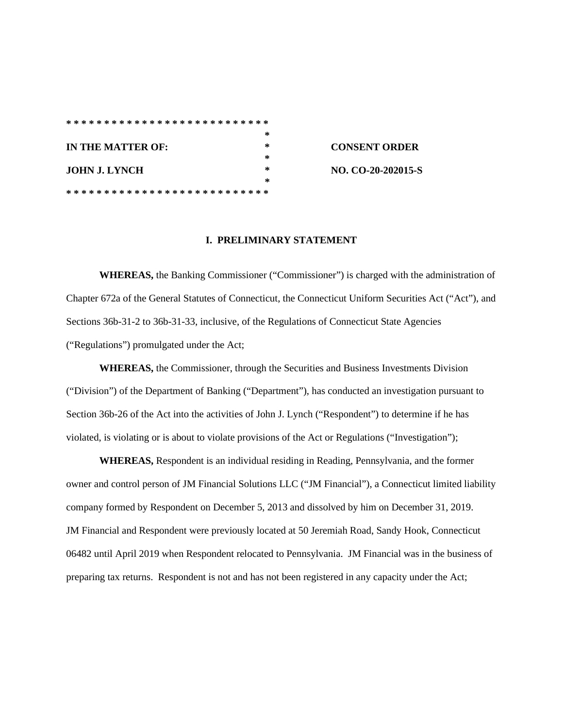|                   |  |  |  |  |  |  |  |  |  |  |  |  |  |   |   |  |  |  |  |  | * |  |
|-------------------|--|--|--|--|--|--|--|--|--|--|--|--|--|---|---|--|--|--|--|--|---|--|
| IN THE MATTER OF: |  |  |  |  |  |  |  |  |  |  |  |  |  | ∗ |   |  |  |  |  |  |   |  |
|                   |  |  |  |  |  |  |  |  |  |  |  |  |  |   |   |  |  |  |  |  | ∗ |  |
| JOHN J. LYNCH     |  |  |  |  |  |  |  |  |  |  |  |  |  |   | ∗ |  |  |  |  |  |   |  |
|                   |  |  |  |  |  |  |  |  |  |  |  |  |  |   |   |  |  |  |  |  | ∗ |  |
|                   |  |  |  |  |  |  |  |  |  |  |  |  |  |   |   |  |  |  |  |  |   |  |

**CONSENT ORDER NO. CO-20-202015-S** 

#### **I. PRELIMINARY STATEMENT**

**WHEREAS,** the Banking Commissioner ("Commissioner") is charged with the administration of Chapter 672a of the General Statutes of Connecticut, the Connecticut Uniform Securities Act ("Act"), and Sections 36b-31-2 to 36b-31-33, inclusive, of the Regulations of Connecticut State Agencies ("Regulations") promulgated under the Act;

**WHEREAS,** the Commissioner, through the Securities and Business Investments Division ("Division") of the Department of Banking ("Department"), has conducted an investigation pursuant to Section 36b-26 of the Act into the activities of John J. Lynch ("Respondent") to determine if he has violated, is violating or is about to violate provisions of the Act or Regulations ("Investigation");

**WHEREAS,** Respondent is an individual residing in Reading, Pennsylvania, and the former owner and control person of JM Financial Solutions LLC ("JM Financial"), a Connecticut limited liability company formed by Respondent on December 5, 2013 and dissolved by him on December 31, 2019. JM Financial and Respondent were previously located at 50 Jeremiah Road, Sandy Hook, Connecticut 06482 until April 2019 when Respondent relocated to Pennsylvania. JM Financial was in the business of preparing tax returns. Respondent is not and has not been registered in any capacity under the Act;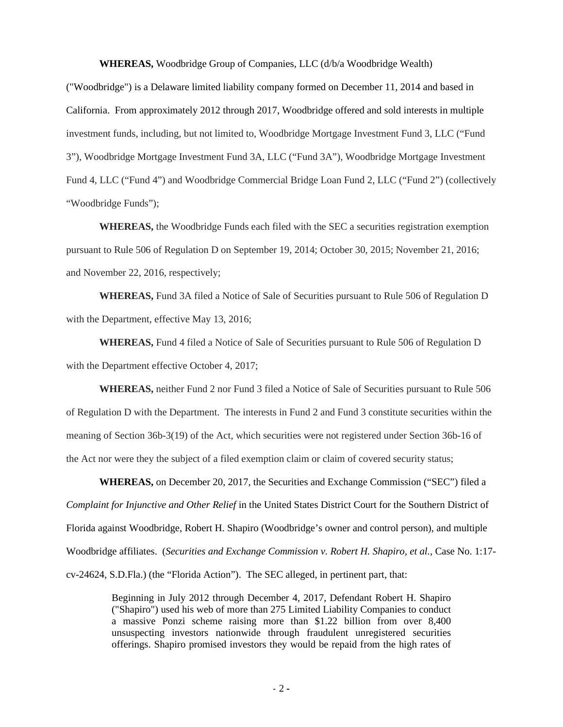**WHEREAS,** Woodbridge Group of Companies, LLC (d/b/a Woodbridge Wealth)

("Woodbridge") is a Delaware limited liability company formed on December 11, 2014 and based in California. From approximately 2012 through 2017, Woodbridge offered and sold interests in multiple investment funds, including, but not limited to, Woodbridge Mortgage Investment Fund 3, LLC ("Fund 3"), Woodbridge Mortgage Investment Fund 3A, LLC ("Fund 3A"), Woodbridge Mortgage Investment Fund 4, LLC ("Fund 4") and Woodbridge Commercial Bridge Loan Fund 2, LLC ("Fund 2") (collectively "Woodbridge Funds");

**WHEREAS,** the Woodbridge Funds each filed with the SEC a securities registration exemption pursuant to Rule 506 of Regulation D on September 19, 2014; October 30, 2015; November 21, 2016; and November 22, 2016, respectively;

**WHEREAS,** Fund 3A filed a Notice of Sale of Securities pursuant to Rule 506 of Regulation D with the Department, effective May 13, 2016;

**WHEREAS,** Fund 4 filed a Notice of Sale of Securities pursuant to Rule 506 of Regulation D with the Department effective October 4, 2017;

**WHEREAS,** neither Fund 2 nor Fund 3 filed a Notice of Sale of Securities pursuant to Rule 506 of Regulation D with the Department. The interests in Fund 2 and Fund 3 constitute securities within the meaning of Section 36b-3(19) of the Act, which securities were not registered under Section 36b-16 of the Act nor were they the subject of a filed exemption claim or claim of covered security status;

**WHEREAS,** on December 20, 2017, the Securities and Exchange Commission ("SEC") filed a *Complaint for Injunctive and Other Relief* in the United States District Court for the Southern District of Florida against Woodbridge, Robert H. Shapiro (Woodbridge's owner and control person), and multiple Woodbridge affiliates. (*Securities and Exchange Commission v. Robert H. Shapiro, et al.,* Case No. 1:17 cv-24624, S.D.Fla.) (the "Florida Action"). The SEC alleged, in pertinent part, that:

> Beginning in July 2012 through December 4, 2017, Defendant Robert H. Shapiro ("Shapiro") used his web of more than 275 Limited Liability Companies to conduct a massive Ponzi scheme raising more than \$1.22 billion from over 8,400 unsuspecting investors nationwide through fraudulent unregistered securities offerings. Shapiro promised investors they would be repaid from the high rates of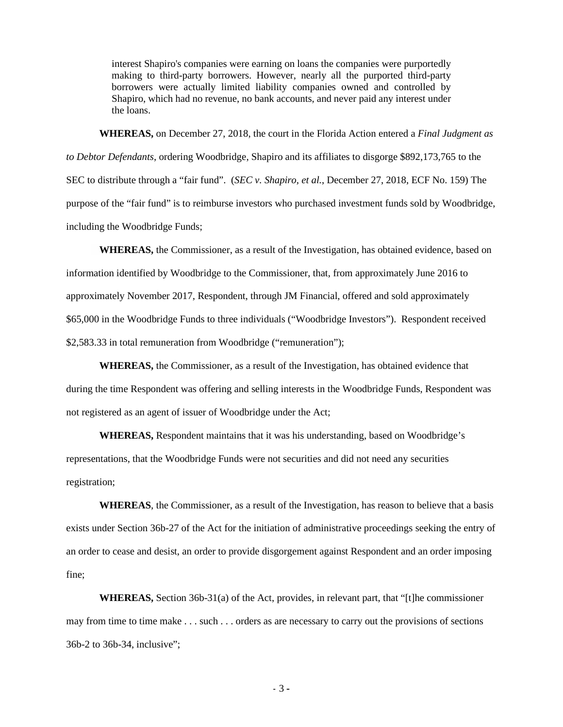interest Shapiro's companies were earning on loans the companies were purportedly making to third-party borrowers. However, nearly all the purported third-party borrowers were actually limited liability companies owned and controlled by Shapiro, which had no revenue, no bank accounts, and never paid any interest under the loans.

**WHEREAS,** on December 27, 2018, the court in the Florida Action entered a *Final Judgment as to Debtor Defendants*, ordering Woodbridge, Shapiro and its affiliates to disgorge \$892,173,765 to the SEC to distribute through a "fair fund". (*SEC v. Shapiro, et al.*, December 27, 2018, ECF No. 159) The purpose of the "fair fund" is to reimburse investors who purchased investment funds sold by Woodbridge, including the Woodbridge Funds;

**WHEREAS,** the Commissioner, as a result of the Investigation, has obtained evidence, based on information identified by Woodbridge to the Commissioner, that, from approximately June 2016 to approximately November 2017, Respondent, through JM Financial, offered and sold approximately \$65,000 in the Woodbridge Funds to three individuals ("Woodbridge Investors"). Respondent received \$2,583.33 in total remuneration from Woodbridge ("remuneration");

**WHEREAS,** the Commissioner, as a result of the Investigation, has obtained evidence that during the time Respondent was offering and selling interests in the Woodbridge Funds, Respondent was not registered as an agent of issuer of Woodbridge under the Act;

**WHEREAS,** Respondent maintains that it was his understanding, based on Woodbridge's representations, that the Woodbridge Funds were not securities and did not need any securities registration;

**WHEREAS**, the Commissioner, as a result of the Investigation, has reason to believe that a basis exists under Section 36b-27 of the Act for the initiation of administrative proceedings seeking the entry of an order to cease and desist, an order to provide disgorgement against Respondent and an order imposing fine;

**WHEREAS,** Section 36b-31(a) of the Act, provides, in relevant part, that "[t]he commissioner may from time to time make . . . such . . . orders as are necessary to carry out the provisions of sections 36b-2 to 36b-34, inclusive";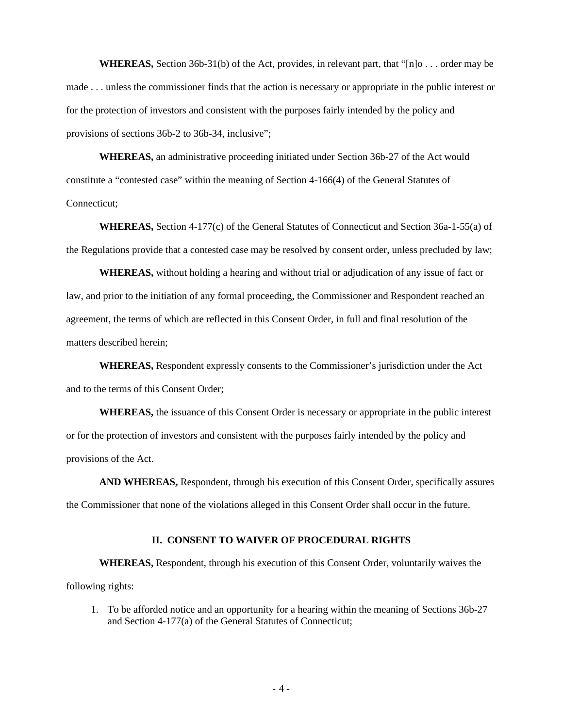**WHEREAS,** Section 36b-31(b) of the Act, provides, in relevant part, that "[n]o . . . order may be made . . . unless the commissioner finds that the action is necessary or appropriate in the public interest or for the protection of investors and consistent with the purposes fairly intended by the policy and provisions of sections 36b-2 to 36b-34, inclusive";

**WHEREAS,** an administrative proceeding initiated under Section 36b-27 of the Act would constitute a "contested case" within the meaning of Section 4-166(4) of the General Statutes of Connecticut;

**WHEREAS,** Section 4-177(c) of the General Statutes of Connecticut and Section 36a-1-55(a) of the Regulations provide that a contested case may be resolved by consent order, unless precluded by law;

**WHEREAS,** without holding a hearing and without trial or adjudication of any issue of fact or law, and prior to the initiation of any formal proceeding, the Commissioner and Respondent reached an agreement, the terms of which are reflected in this Consent Order, in full and final resolution of the matters described herein;

**WHEREAS,** Respondent expressly consents to the Commissioner's jurisdiction under the Act and to the terms of this Consent Order;

**WHEREAS,** the issuance of this Consent Order is necessary or appropriate in the public interest or for the protection of investors and consistent with the purposes fairly intended by the policy and provisions of the Act.

**AND WHEREAS,** Respondent, through his execution of this Consent Order, specifically assures the Commissioner that none of the violations alleged in this Consent Order shall occur in the future.

### **II. CONSENT TO WAIVER OF PROCEDURAL RIGHTS**

**WHEREAS,** Respondent, through his execution of this Consent Order, voluntarily waives the following rights:

1. To be afforded notice and an opportunity for a hearing within the meaning of Sections 36b-27 and Section 4-177(a) of the General Statutes of Connecticut;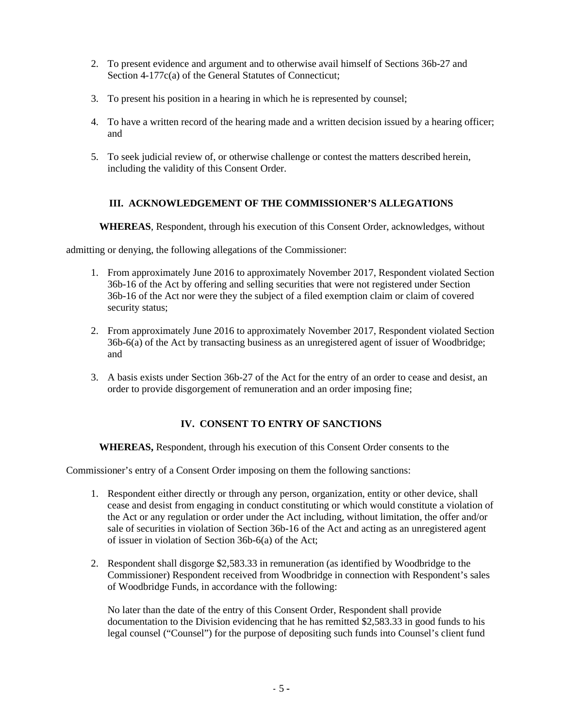- 2. To present evidence and argument and to otherwise avail himself of Sections 36b-27 and Section 4-177c(a) of the General Statutes of Connecticut;
- 3. To present his position in a hearing in which he is represented by counsel;
- 4. To have a written record of the hearing made and a written decision issued by a hearing officer; and
- 5. To seek judicial review of, or otherwise challenge or contest the matters described herein, including the validity of this Consent Order.

## **III. ACKNOWLEDGEMENT OF THE COMMISSIONER'S ALLEGATIONS**

**WHEREAS**, Respondent, through his execution of this Consent Order, acknowledges, without

admitting or denying, the following allegations of the Commissioner:

- 1. From approximately June 2016 to approximately November 2017, Respondent violated Section 36b-16 of the Act by offering and selling securities that were not registered under Section 36b-16 of the Act nor were they the subject of a filed exemption claim or claim of covered security status;
- 2. From approximately June 2016 to approximately November 2017, Respondent violated Section 36b-6(a) of the Act by transacting business as an unregistered agent of issuer of Woodbridge; and
- 3. A basis exists under Section 36b-27 of the Act for the entry of an order to cease and desist, an order to provide disgorgement of remuneration and an order imposing fine;

# **IV. CONSENT TO ENTRY OF SANCTIONS**

**WHEREAS,** Respondent, through his execution of this Consent Order consents to the

Commissioner's entry of a Consent Order imposing on them the following sanctions:

- 1. Respondent either directly or through any person, organization, entity or other device, shall cease and desist from engaging in conduct constituting or which would constitute a violation of the Act or any regulation or order under the Act including, without limitation, the offer and/or sale of securities in violation of Section 36b-16 of the Act and acting as an unregistered agent of issuer in violation of Section 36b-6(a) of the Act;
- 2. Respondent shall disgorge \$2,583.33 in remuneration (as identified by Woodbridge to the Commissioner) Respondent received from Woodbridge in connection with Respondent's sales of Woodbridge Funds, in accordance with the following:

No later than the date of the entry of this Consent Order, Respondent shall provide documentation to the Division evidencing that he has remitted \$2,583.33 in good funds to his legal counsel ("Counsel") for the purpose of depositing such funds into Counsel's client fund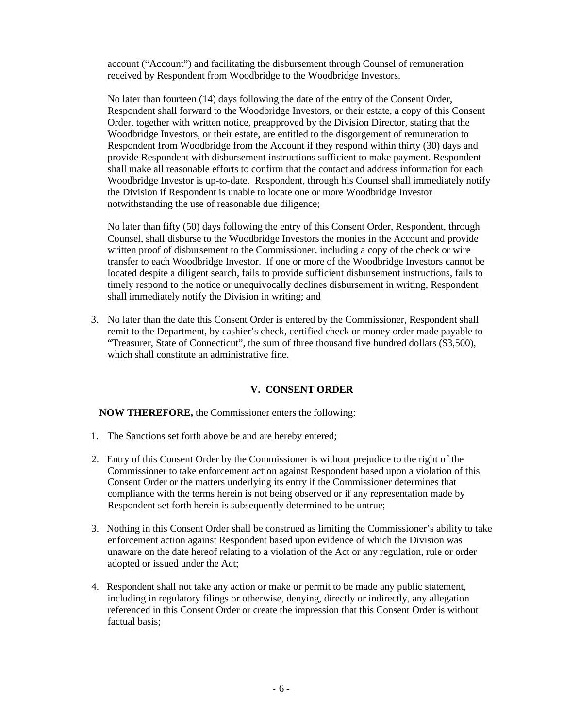account ("Account") and facilitating the disbursement through Counsel of remuneration received by Respondent from Woodbridge to the Woodbridge Investors.

No later than fourteen (14) days following the date of the entry of the Consent Order, Respondent shall forward to the Woodbridge Investors, or their estate, a copy of this Consent Order, together with written notice, preapproved by the Division Director, stating that the Woodbridge Investors, or their estate, are entitled to the disgorgement of remuneration to Respondent from Woodbridge from the Account if they respond within thirty (30) days and provide Respondent with disbursement instructions sufficient to make payment. Respondent shall make all reasonable efforts to confirm that the contact and address information for each Woodbridge Investor is up-to-date. Respondent, through his Counsel shall immediately notify the Division if Respondent is unable to locate one or more Woodbridge Investor notwithstanding the use of reasonable due diligence;

No later than fifty (50) days following the entry of this Consent Order, Respondent, through Counsel, shall disburse to the Woodbridge Investors the monies in the Account and provide written proof of disbursement to the Commissioner, including a copy of the check or wire transfer to each Woodbridge Investor. If one or more of the Woodbridge Investors cannot be located despite a diligent search, fails to provide sufficient disbursement instructions, fails to timely respond to the notice or unequivocally declines disbursement in writing, Respondent shall immediately notify the Division in writing; and

3. No later than the date this Consent Order is entered by the Commissioner, Respondent shall remit to the Department, by cashier's check, certified check or money order made payable to "Treasurer, State of Connecticut", the sum of three thousand five hundred dollars (\$3,500), which shall constitute an administrative fine.

### **V. CONSENT ORDER**

**NOW THEREFORE,** the Commissioner enters the following:

- 1. The Sanctions set forth above be and are hereby entered;
- 2. Entry of this Consent Order by the Commissioner is without prejudice to the right of the Commissioner to take enforcement action against Respondent based upon a violation of this Consent Order or the matters underlying its entry if the Commissioner determines that compliance with the terms herein is not being observed or if any representation made by Respondent set forth herein is subsequently determined to be untrue;
- 3. Nothing in this Consent Order shall be construed as limiting the Commissioner's ability to take enforcement action against Respondent based upon evidence of which the Division was unaware on the date hereof relating to a violation of the Act or any regulation, rule or order adopted or issued under the Act;
- 4. Respondent shall not take any action or make or permit to be made any public statement, including in regulatory filings or otherwise, denying, directly or indirectly, any allegation referenced in this Consent Order or create the impression that this Consent Order is without factual basis;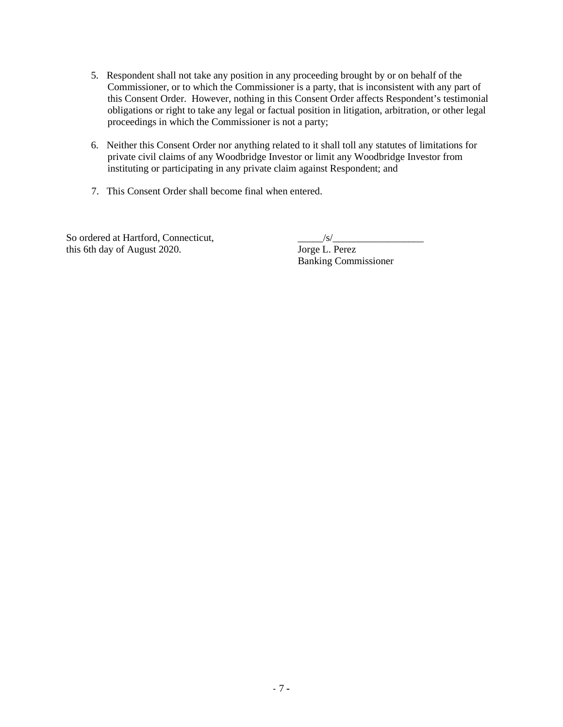- 5. Respondent shall not take any position in any proceeding brought by or on behalf of the Commissioner, or to which the Commissioner is a party, that is inconsistent with any part of this Consent Order. However, nothing in this Consent Order affects Respondent's testimonial obligations or right to take any legal or factual position in litigation, arbitration, or other legal proceedings in which the Commissioner is not a party;
- 6. Neither this Consent Order nor anything related to it shall toll any statutes of limitations for private civil claims of any Woodbridge Investor or limit any Woodbridge Investor from instituting or participating in any private claim against Respondent; and
- 7. This Consent Order shall become final when entered.

So ordered at Hartford, Connecticut,<br>this 6th day of August 2020. Jorge L. Perez this 6th day of August 2020.

Banking Commissioner